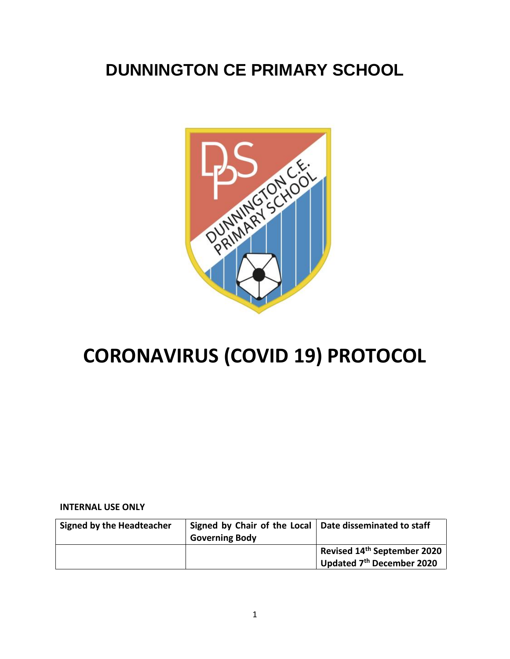# **DUNNINGTON CE PRIMARY SCHOOL**



# **CORONAVIRUS (COVID 19) PROTOCOL**

#### **INTERNAL USE ONLY**

| <b>Signed by the Headteacher</b> | Signed by Chair of the Local   Date disseminated to staff<br><b>Governing Body</b> |                                                                      |
|----------------------------------|------------------------------------------------------------------------------------|----------------------------------------------------------------------|
|                                  |                                                                                    | Revised 14 <sup>th</sup> September 2020<br>Updated 7th December 2020 |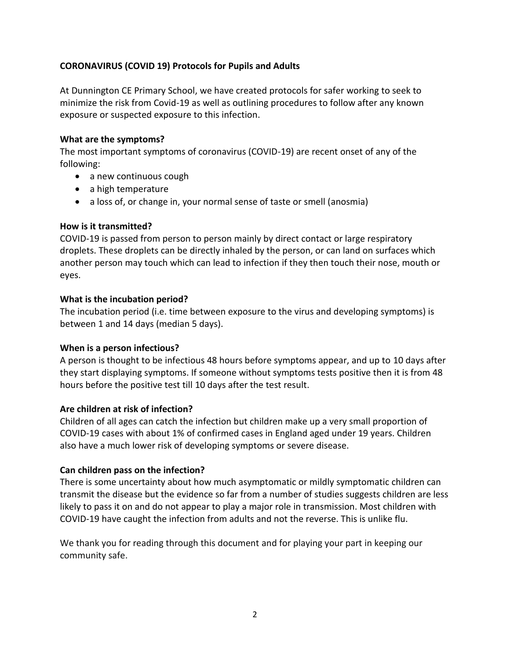# **CORONAVIRUS (COVID 19) Protocols for Pupils and Adults**

At Dunnington CE Primary School, we have created protocols for safer working to seek to minimize the risk from Covid-19 as well as outlining procedures to follow after any known exposure or suspected exposure to this infection.

#### **What are the symptoms?**

The most important symptoms of coronavirus (COVID-19) are recent onset of any of the following:

- a new continuous cough
- a high temperature
- a loss of, or change in, your normal sense of taste or smell (anosmia)

#### **How is it transmitted?**

COVID-19 is passed from person to person mainly by direct contact or large respiratory droplets. These droplets can be directly inhaled by the person, or can land on surfaces which another person may touch which can lead to infection if they then touch their nose, mouth or eyes.

#### **What is the incubation period?**

The incubation period (i.e. time between exposure to the virus and developing symptoms) is between 1 and 14 days (median 5 days).

#### **When is a person infectious?**

A person is thought to be infectious 48 hours before symptoms appear, and up to 10 days after they start displaying symptoms. If someone without symptoms tests positive then it is from 48 hours before the positive test till 10 days after the test result.

#### **Are children at risk of infection?**

Children of all ages can catch the infection but children make up a very small proportion of COVID-19 cases with about 1% of confirmed cases in England aged under 19 years. Children also have a much lower risk of developing symptoms or severe disease.

#### **Can children pass on the infection?**

There is some uncertainty about how much asymptomatic or mildly symptomatic children can transmit the disease but the evidence so far from a number of studies suggests children are less likely to pass it on and do not appear to play a major role in transmission. Most children with COVID-19 have caught the infection from adults and not the reverse. This is unlike flu.

We thank you for reading through this document and for playing your part in keeping our community safe.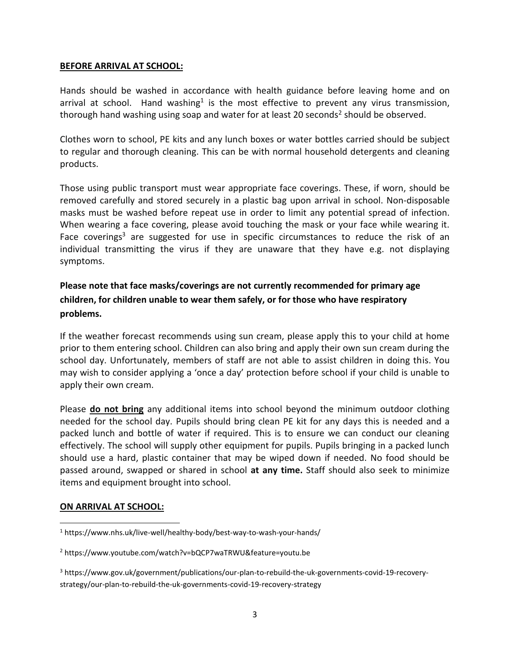#### **BEFORE ARRIVAL AT SCHOOL:**

Hands should be washed in accordance with health guidance before leaving home and on arrival at school. Hand washing<sup>1</sup> is the most effective to prevent any virus transmission, thorough hand washing using soap and water for at least 20 seconds<sup>2</sup> should be observed.

Clothes worn to school, PE kits and any lunch boxes or water bottles carried should be subject to regular and thorough cleaning. This can be with normal household detergents and cleaning products.

Those using public transport must wear appropriate face coverings. These, if worn, should be removed carefully and stored securely in a plastic bag upon arrival in school. Non-disposable masks must be washed before repeat use in order to limit any potential spread of infection. When wearing a face covering, please avoid touching the mask or your face while wearing it. Face coverings<sup>3</sup> are suggested for use in specific circumstances to reduce the risk of an individual transmitting the virus if they are unaware that they have e.g. not displaying symptoms.

# **Please note that face masks/coverings are not currently recommended for primary age children, for children unable to wear them safely, or for those who have respiratory problems.**

If the weather forecast recommends using sun cream, please apply this to your child at home prior to them entering school. Children can also bring and apply their own sun cream during the school day. Unfortunately, members of staff are not able to assist children in doing this. You may wish to consider applying a 'once a day' protection before school if your child is unable to apply their own cream.

Please **do not bring** any additional items into school beyond the minimum outdoor clothing needed for the school day. Pupils should bring clean PE kit for any days this is needed and a packed lunch and bottle of water if required. This is to ensure we can conduct our cleaning effectively. The school will supply other equipment for pupils. Pupils bringing in a packed lunch should use a hard, plastic container that may be wiped down if needed. No food should be passed around, swapped or shared in school **at any time.** Staff should also seek to minimize items and equipment brought into school.

#### **ON ARRIVAL AT SCHOOL:**

 $\overline{\phantom{a}}$ 

<sup>1</sup> https://www.nhs.uk/live-well/healthy-body/best-way-to-wash-your-hands/

<sup>2</sup> https://www.youtube.com/watch?v=bQCP7waTRWU&feature=youtu.be

<sup>3</sup> https://www.gov.uk/government/publications/our-plan-to-rebuild-the-uk-governments-covid-19-recoverystrategy/our-plan-to-rebuild-the-uk-governments-covid-19-recovery-strategy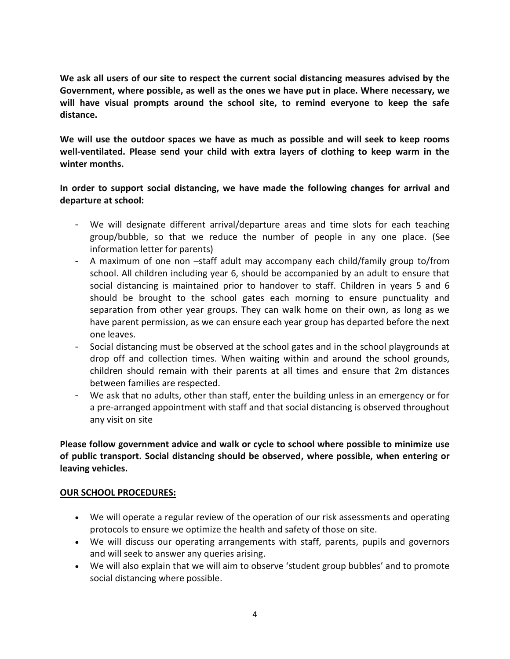**We ask all users of our site to respect the current social distancing measures advised by the Government, where possible, as well as the ones we have put in place. Where necessary, we will have visual prompts around the school site, to remind everyone to keep the safe distance.**

**We will use the outdoor spaces we have as much as possible and will seek to keep rooms well-ventilated. Please send your child with extra layers of clothing to keep warm in the winter months.**

**In order to support social distancing, we have made the following changes for arrival and departure at school:** 

- We will designate different arrival/departure areas and time slots for each teaching group/bubble, so that we reduce the number of people in any one place. (See information letter for parents)
- A maximum of one non –staff adult may accompany each child/family group to/from school. All children including year 6, should be accompanied by an adult to ensure that social distancing is maintained prior to handover to staff. Children in years 5 and 6 should be brought to the school gates each morning to ensure punctuality and separation from other year groups. They can walk home on their own, as long as we have parent permission, as we can ensure each year group has departed before the next one leaves.
- Social distancing must be observed at the school gates and in the school playgrounds at drop off and collection times. When waiting within and around the school grounds, children should remain with their parents at all times and ensure that 2m distances between families are respected.
- We ask that no adults, other than staff, enter the building unless in an emergency or for a pre-arranged appointment with staff and that social distancing is observed throughout any visit on site

**Please follow government advice and walk or cycle to school where possible to minimize use of public transport. Social distancing should be observed, where possible, when entering or leaving vehicles.**

#### **OUR SCHOOL PROCEDURES:**

- We will operate a regular review of the operation of our risk assessments and operating protocols to ensure we optimize the health and safety of those on site.
- We will discuss our operating arrangements with staff, parents, pupils and governors and will seek to answer any queries arising.
- We will also explain that we will aim to observe 'student group bubbles' and to promote social distancing where possible.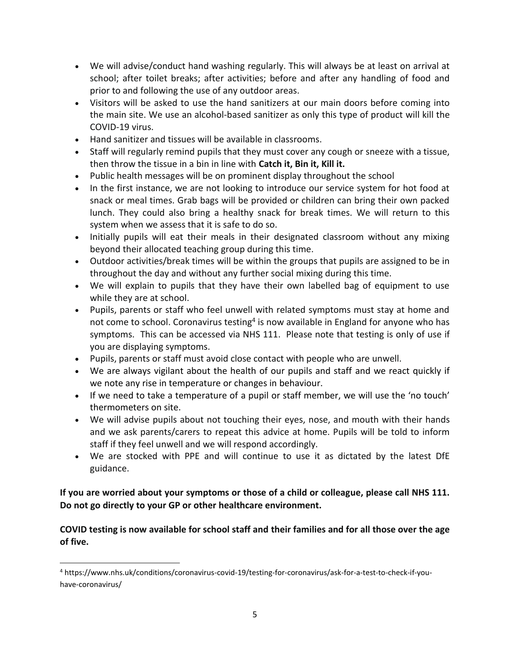- We will advise/conduct hand washing regularly. This will always be at least on arrival at school; after toilet breaks; after activities; before and after any handling of food and prior to and following the use of any outdoor areas.
- Visitors will be asked to use the hand sanitizers at our main doors before coming into the main site. We use an alcohol-based sanitizer as only this type of product will kill the COVID-19 virus.
- Hand sanitizer and tissues will be available in classrooms.
- Staff will regularly remind pupils that they must cover any cough or sneeze with a tissue, then throw the tissue in a bin in line with **Catch it, Bin it, Kill it.**
- Public health messages will be on prominent display throughout the school
- In the first instance, we are not looking to introduce our service system for hot food at snack or meal times. Grab bags will be provided or children can bring their own packed lunch. They could also bring a healthy snack for break times. We will return to this system when we assess that it is safe to do so.
- Initially pupils will eat their meals in their designated classroom without any mixing beyond their allocated teaching group during this time.
- Outdoor activities/break times will be within the groups that pupils are assigned to be in throughout the day and without any further social mixing during this time.
- We will explain to pupils that they have their own labelled bag of equipment to use while they are at school.
- Pupils, parents or staff who feel unwell with related symptoms must stay at home and not come to school. Coronavirus testing<sup>4</sup> is now available in England for anyone who has symptoms. This can be accessed via NHS 111. Please note that testing is only of use if you are displaying symptoms.
- Pupils, parents or staff must avoid close contact with people who are unwell.
- We are always vigilant about the health of our pupils and staff and we react quickly if we note any rise in temperature or changes in behaviour.
- If we need to take a temperature of a pupil or staff member, we will use the 'no touch' thermometers on site.
- We will advise pupils about not touching their eyes, nose, and mouth with their hands and we ask parents/carers to repeat this advice at home. Pupils will be told to inform staff if they feel unwell and we will respond accordingly.
- We are stocked with PPE and will continue to use it as dictated by the latest DfE guidance.

# **If you are worried about your symptoms or those of a child or colleague, please call NHS 111. Do not go directly to your GP or other healthcare environment.**

**COVID testing is now available for school staff and their families and for all those over the age of five.** 

 $\overline{a}$ 

<sup>4</sup> https://www.nhs.uk/conditions/coronavirus-covid-19/testing-for-coronavirus/ask-for-a-test-to-check-if-youhave-coronavirus/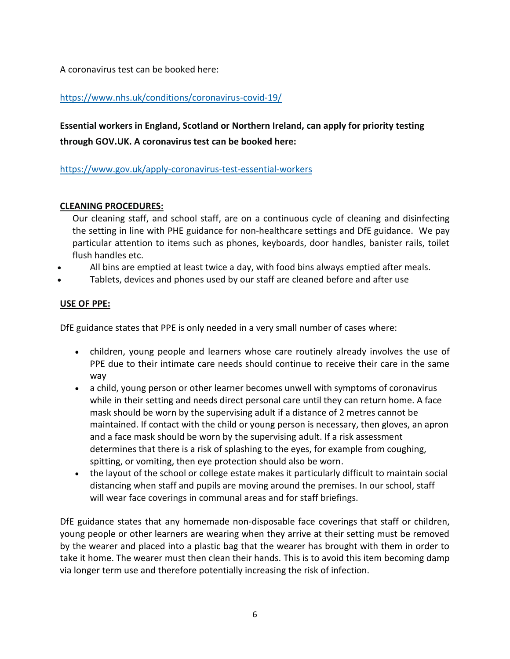A coronavirus test can be booked here:

# <https://www.nhs.uk/conditions/coronavirus-covid-19/>

**Essential workers in England, Scotland or Northern Ireland, can apply for priority testing through GOV.UK. A coronavirus test can be booked here:** 

<https://www.gov.uk/apply-coronavirus-test-essential-workers>

#### **CLEANING PROCEDURES:**

Our cleaning staff, and school staff, are on a continuous cycle of cleaning and disinfecting the setting in line with PHE guidance for non-healthcare settings and DfE guidance. We pay particular attention to items such as phones, keyboards, door handles, banister rails, toilet flush handles etc.

- All bins are emptied at least twice a day, with food bins always emptied after meals.
- Tablets, devices and phones used by our staff are cleaned before and after use

# **USE OF PPE:**

DfE guidance states that PPE is only needed in a very small number of cases where:

- children, young people and learners whose care routinely already involves the use of PPE due to their intimate care needs should continue to receive their care in the same way
- a child, young person or other learner becomes unwell with symptoms of coronavirus while in their setting and needs direct personal care until they can return home. A face mask should be worn by the supervising adult if a distance of 2 metres cannot be maintained. If contact with the child or young person is necessary, then gloves, an apron and a face mask should be worn by the supervising adult. If a risk assessment determines that there is a risk of splashing to the eyes, for example from coughing, spitting, or vomiting, then eye protection should also be worn.
- the layout of the school or college estate makes it particularly difficult to maintain social distancing when staff and pupils are moving around the premises. In our school, staff will wear face coverings in communal areas and for staff briefings.

DfE guidance states that any homemade non-disposable face coverings that staff or children, young people or other learners are wearing when they arrive at their setting must be removed by the wearer and placed into a plastic bag that the wearer has brought with them in order to take it home. The wearer must then clean their hands. This is to avoid this item becoming damp via longer term use and therefore potentially increasing the risk of infection.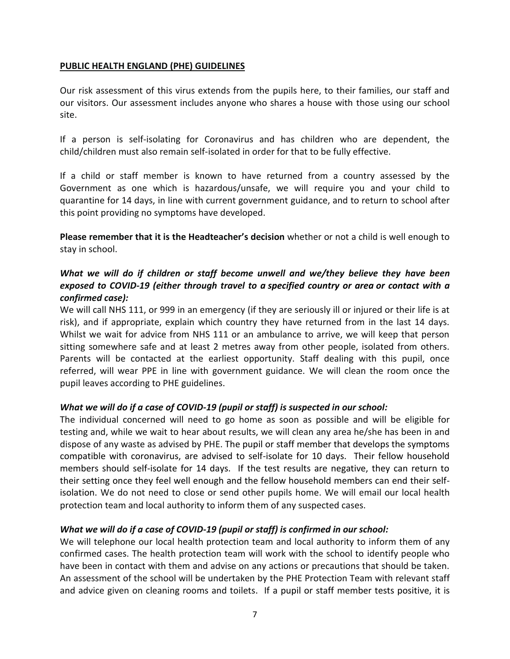#### **PUBLIC HEALTH ENGLAND (PHE) GUIDELINES**

Our risk assessment of this virus extends from the pupils here, to their families, our staff and our visitors. Our assessment includes anyone who shares a house with those using our school site.

If a person is self-isolating for Coronavirus and has children who are dependent, the child/children must also remain self-isolated in order for that to be fully effective.

If a child or staff member is known to have returned from a country assessed by the Government as one which is hazardous/unsafe, we will require you and your child to quarantine for 14 days, in line with current government guidance, and to return to school after this point providing no symptoms have developed.

**Please remember that it is the Headteacher's decision** whether or not a child is well enough to stay in school.

# *What we will do if children or staff become unwell and we/they believe they have been exposed to COVID-19 (either through travel to a [specified](https://www.gov.uk/government/publications/covid-19-specified-countries-and-areas) country or area or contact with a confirmed case):*

We will call NHS 111, or 999 in an emergency (if they are seriously ill or injured or their life is at risk), and if appropriate, explain which country they have returned from in the last 14 days. Whilst we wait for advice from NHS 111 or an ambulance to arrive, we will keep that person sitting somewhere safe and at least 2 metres away from other people, isolated from others. Parents will be contacted at the earliest opportunity. Staff dealing with this pupil, once referred, will wear PPE in line with government guidance. We will clean the room once the pupil leaves according to PHE guidelines.

# *What we will do if a case of COVID-19 (pupil or staff) is suspected in our school:*

The individual concerned will need to go home as soon as possible and will be eligible for testing and, while we wait to hear about results, we will clean any area he/she has been in and dispose of any waste as advised by PHE. The pupil or staff member that develops the symptoms compatible with coronavirus, are advised to self-isolate for 10 days. Their fellow household members should self-isolate for 14 days. If the test results are negative, they can return to their setting once they feel well enough and the fellow household members can end their selfisolation. We do not need to close or send other pupils home. We will email our local health protection team and local authority to inform them of any suspected cases.

# *What we will do if a case of COVID-19 (pupil or staff) is confirmed in our school:*

We will telephone our local health protection team and local authority to inform them of any confirmed cases. The health protection team will work with the school to identify people who have been in contact with them and advise on any actions or precautions that should be taken. An assessment of the school will be undertaken by the PHE Protection Team with relevant staff and advice given on cleaning rooms and toilets. If a pupil or staff member tests positive, it is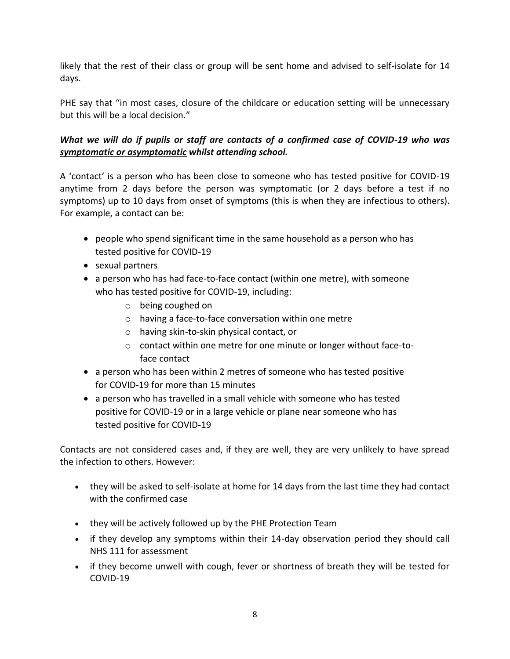likely that the rest of their class or group will be sent home and advised to self-isolate for 14 days.

PHE say that "in most cases, closure of the childcare or education setting will be unnecessary but this will be a local decision."

# *What we will do if pupils or staff are contacts of a confirmed case of COVID-19 who was symptomatic or asymptomatic whilst attending school.*

A 'contact' is a person who has been close to someone who has tested positive for COVID-19 anytime from 2 days before the person was symptomatic (or 2 days before a test if no symptoms) up to 10 days from onset of symptoms (this is when they are infectious to others). For example, a contact can be:

- people who spend significant time in the same household as a person who has tested positive for COVID-19
- sexual partners
- a person who has had face-to-face contact (within one metre), with someone who has tested positive for COVID-19, including:
	- o being coughed on
	- o having a face-to-face conversation within one metre
	- o having skin-to-skin physical contact, or
	- o contact within one metre for one minute or longer without face-toface contact
- a person who has been within 2 metres of someone who has tested positive for COVID-19 for more than 15 minutes
- a person who has travelled in a small vehicle with someone who has tested positive for COVID-19 or in a large vehicle or plane near someone who has tested positive for COVID-19

Contacts are not considered cases and, if they are well, they are very unlikely to have spread the infection to others. However:

- they will be asked to self-isolate at home for 14 days from the last time they had contact with the confirmed case
- they will be actively followed up by the PHE Protection Team
- if they develop any symptoms within their 14-day observation period they should call NHS 111 for assessment
- if they become unwell with cough, fever or shortness of breath they will be tested for COVID-19